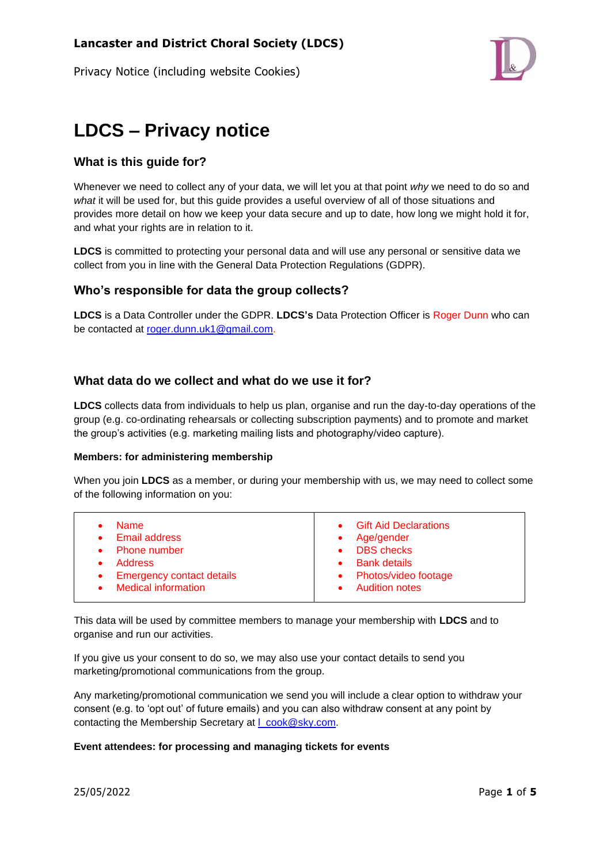Privacy Notice (including website Cookies)



# **LDCS – Privacy notice**

# **What is this guide for?**

Whenever we need to collect any of your data, we will let you at that point *why* we need to do so and *what* it will be used for, but this guide provides a useful overview of all of those situations and provides more detail on how we keep your data secure and up to date, how long we might hold it for, and what your rights are in relation to it.

**LDCS** is committed to protecting your personal data and will use any personal or sensitive data we collect from you in line with the General Data Protection Regulations (GDPR).

## **Who's responsible for data the group collects?**

**LDCS** is a Data Controller under the GDPR. **LDCS's** Data Protection Officer is Roger Dunn who can be contacted at [roger.dunn.uk1@gmail.com.](mailto:roger.dunn.uk1@gmail.com?subject=LDCS%20Email%20opt-out)

## **What data do we collect and what do we use it for?**

**LDCS** collects data from individuals to help us plan, organise and run the day-to-day operations of the group (e.g. co-ordinating rehearsals or collecting subscription payments) and to promote and market the group's activities (e.g. marketing mailing lists and photography/video capture).

#### **Members: for administering membership**

When you join **LDCS** as a member, or during your membership with us, we may need to collect some of the following information on you:

This data will be used by committee members to manage your membership with **LDCS** and to organise and run our activities.

If you give us your consent to do so, we may also use your contact details to send you marketing/promotional communications from the group.

Any marketing/promotional communication we send you will include a clear option to withdraw your consent (e.g. to 'opt out' of future emails) and you can also withdraw consent at any point by contacting the Membership Secretary at I\_cook@sky.com.

#### **Event attendees: for processing and managing tickets for events**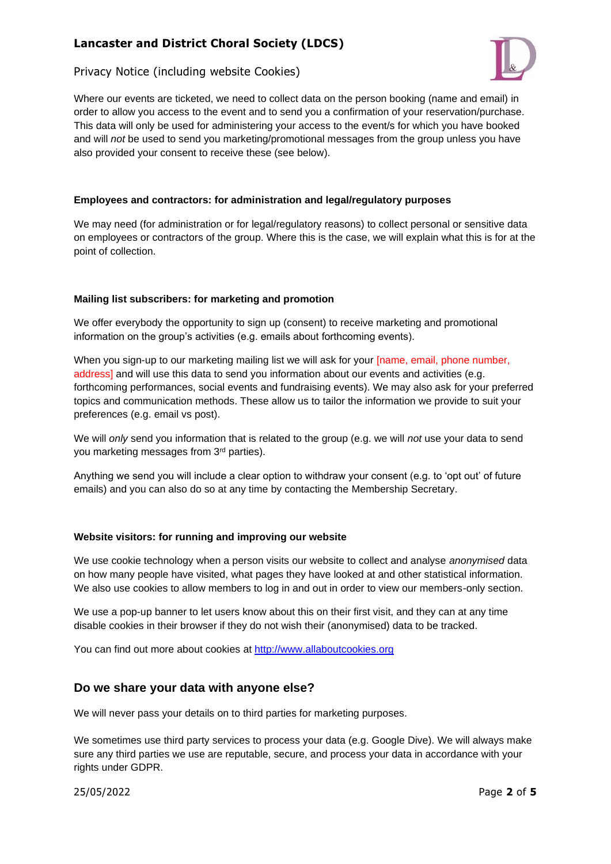# **Lancaster and District Choral Society (LDCS)**

## Privacy Notice (including website Cookies)



Where our events are ticketed, we need to collect data on the person booking (name and email) in order to allow you access to the event and to send you a confirmation of your reservation/purchase. This data will only be used for administering your access to the event/s for which you have booked and will *not* be used to send you marketing/promotional messages from the group unless you have also provided your consent to receive these (see below).

#### **Employees and contractors: for administration and legal/regulatory purposes**

We may need (for administration or for legal/regulatory reasons) to collect personal or sensitive data on employees or contractors of the group. Where this is the case, we will explain what this is for at the point of collection.

#### **Mailing list subscribers: for marketing and promotion**

We offer everybody the opportunity to sign up (consent) to receive marketing and promotional information on the group's activities (e.g. emails about forthcoming events).

When you sign-up to our marketing mailing list we will ask for your [name, email, phone number, address] and will use this data to send you information about our events and activities (e.g. forthcoming performances, social events and fundraising events). We may also ask for your preferred topics and communication methods. These allow us to tailor the information we provide to suit your preferences (e.g. email vs post).

We will *only* send you information that is related to the group (e.g. we will *not* use your data to send you marketing messages from 3rd parties).

Anything we send you will include a clear option to withdraw your consent (e.g. to 'opt out' of future emails) and you can also do so at any time by contacting the Membership Secretary.

#### **Website visitors: for running and improving our website**

We use cookie technology when a person visits our website to collect and analyse *anonymised* data on how many people have visited, what pages they have looked at and other statistical information. We also use cookies to allow members to log in and out in order to view our members-only section.

We use a pop-up banner to let users know about this on their first visit, and they can at any time disable cookies in their browser if they do not wish their (anonymised) data to be tracked.

You can find out more about cookies at [http://www.allaboutcookies.org](http://www.allaboutcookies.org/)

#### **Do we share your data with anyone else?**

We will never pass your details on to third parties for marketing purposes.

We sometimes use third party services to process your data (e.g. Google Dive). We will always make sure any third parties we use are reputable, secure, and process your data in accordance with your rights under GDPR.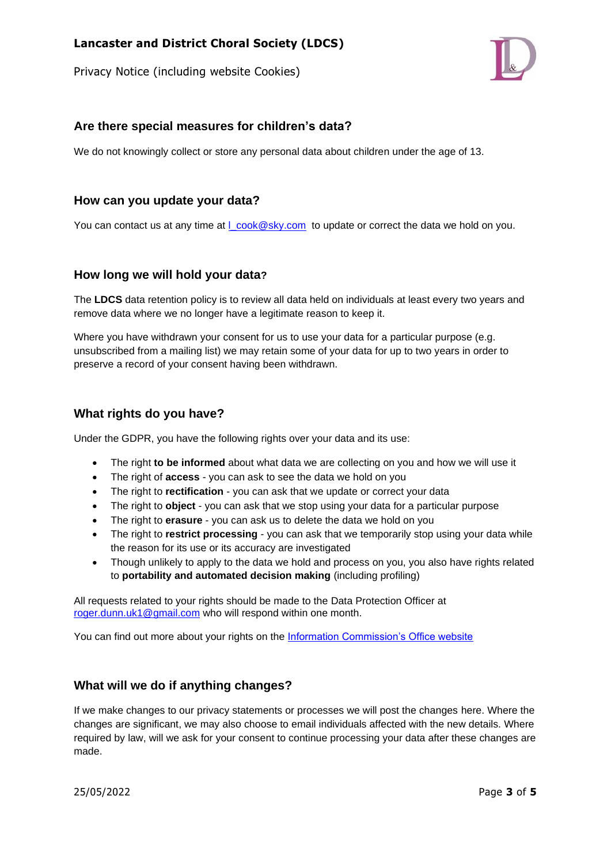Privacy Notice (including website Cookies)



## **Are there special measures for children's data?**

We do not knowingly collect or store any personal data about children under the age of 13.

### **How can you update your data?**

You can contact us at any time at  $L\text{cook@sky.com}$  to update or correct the data we hold on you.

#### **How long we will hold your data?**

The **LDCS** data retention policy is to review all data held on individuals at least every two years and remove data where we no longer have a legitimate reason to keep it.

Where you have withdrawn your consent for us to use your data for a particular purpose (e.g. unsubscribed from a mailing list) we may retain some of your data for up to two years in order to preserve a record of your consent having been withdrawn.

## **What rights do you have?**

Under the GDPR, you have the following rights over your data and its use:

- The right **to be informed** about what data we are collecting on you and how we will use it
- The right of **access** you can ask to see the data we hold on you
- The right to **rectification** you can ask that we update or correct your data
- The right to **object** you can ask that we stop using your data for a particular purpose
- The right to **erasure** you can ask us to delete the data we hold on you
- The right to **restrict processing** you can ask that we temporarily stop using your data while the reason for its use or its accuracy are investigated
- Though unlikely to apply to the data we hold and process on you, you also have rights related to **portability and automated decision making** (including profiling)

All requests related to your rights should be made to the Data Protection Officer at [roger.dunn.uk1@gmail.com](mailto:roger.dunn.uk1@gmail.com?subject=LDCS%20GDPR) who will respond within one month.

You can find out more about your rights on the [Information Commission's Office website](https://ico.org.uk/for-organisations/guide-to-the-general-data-protection-regulation-gdpr/individual-rights/)

# **What will we do if anything changes?**

If we make changes to our privacy statements or processes we will post the changes here. Where the changes are significant, we may also choose to email individuals affected with the new details. Where required by law, will we ask for your consent to continue processing your data after these changes are made.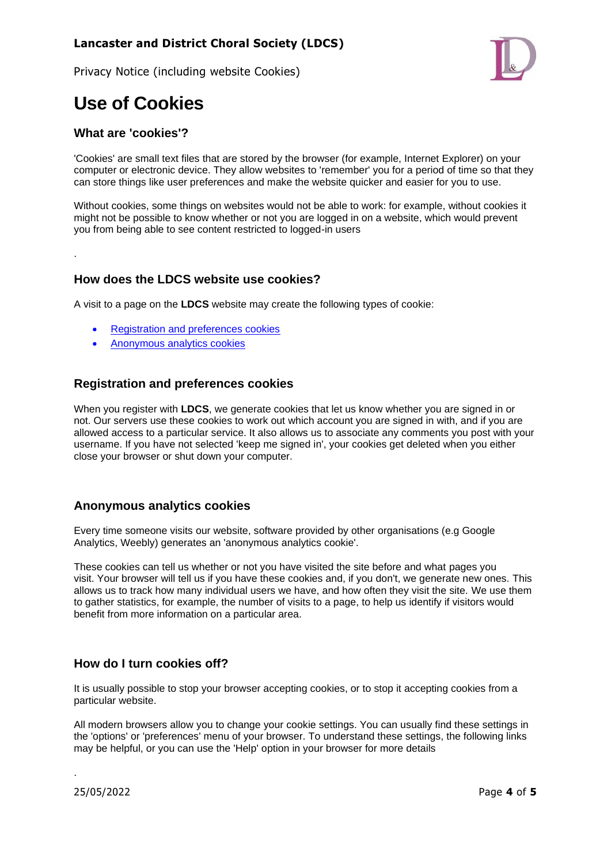# **Lancaster and District Choral Society (LDCS)**

Privacy Notice (including website Cookies)



# **Use of Cookies**

### **What are 'cookies'?**

.

'Cookies' are small text files that are stored by the browser (for example, Internet Explorer) on your computer or electronic device. They allow websites to 'remember' you for a period of time so that they can store things like user preferences and make the website quicker and easier for you to use.

Without cookies, some things on websites would not be able to work: for example, without cookies it might not be possible to know whether or not you are logged in on a website, which would prevent you from being able to see content restricted to logged-in users

#### **How does the LDCS website use cookies?**

A visit to a page on the **LDCS** website may create the following types of cookie:

- [Registration and preferences cookies](https://www.makingmusic.org.uk/cookie-and-privacy-policy#registration)
- [Anonymous analytics cookies](https://www.makingmusic.org.uk/cookie-and-privacy-policy#analytics)

#### **Registration and preferences cookies**

When you register with **LDCS**, we generate cookies that let us know whether you are signed in or not. Our servers use these cookies to work out which account you are signed in with, and if you are allowed access to a particular service. It also allows us to associate any comments you post with your username. If you have not selected 'keep me signed in', your cookies get deleted when you either close your browser or shut down your computer.

#### **Anonymous analytics cookies**

Every time someone visits our website, software provided by other organisations (e.g Google Analytics, Weebly) generates an 'anonymous analytics cookie'.

These cookies can tell us whether or not you have visited the site before and what pages you visit. Your browser will tell us if you have these cookies and, if you don't, we generate new ones. This allows us to track how many individual users we have, and how often they visit the site. We use them to gather statistics, for example, the number of visits to a page, to help us identify if visitors would benefit from more information on a particular area.

#### **How do I turn cookies off?**

It is usually possible to stop your browser accepting cookies, or to stop it accepting cookies from a particular website.

All modern browsers allow you to change your cookie settings. You can usually find these settings in the 'options' or 'preferences' menu of your browser. To understand these settings, the following links may be helpful, or you can use the 'Help' option in your browser for more details

.